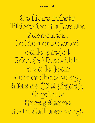### **constructLab**

Ce livre relate l<sup>o</sup>histoire du Jardin Suspendu, le lieu enchanté où le projet Mon(s) Invisible a vu le jour durant l'été 2015, à Mons (Belgique), Capitale Européenne de la Culture 2015.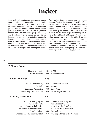# **Index**

Ce Livre Invisible est conçu comme une promenade dans le Jardin Suspendu, le lieu du projet Mon(s) Invisible. De chapitre en chapitre, vous évoluerez de structure en structure au sein du projet. Chacune de ces structures est racontée par des participants de Mon(s) Invisible, qui s'attachent soit à sa face visible (pages blanches), soit à sa face invisible (pages jaunes). De par l'aspect international du projet et de ses participants, chaque texte - à l'exception des recettes et de la transcription d'un évènement en anglais - est disponible en français (fr) et en anglais (en). La narration d'une fiction également invisible tisse sa trame au long du livre. Bonne promenade ! This Invisible Book is imagined as a walk in the Hanging Garden, the location of the Mon(s) Invisible project. Chapter by chapter, you will progress through the structures at the heart of the project. Accounts of each of these structures have been given by the participants of Mon(s) Invisible; on the white pages are those pertaining to the visible side of the project, and on the yellow pages you have the invisible. Given the international scope of the project and its participants, each text - excluding the recipes and the transcription of an event in English - is printed in French (fr) and in English (en). The narrative threads of an invisible imaginary are also woven in throughout the book. Enjoy your walk!

| 8 heures du matin<br>Chacun sa vérité                                                                                                                                | 021<br>027               | 8 AM<br>Chacun sa vérité                                                                                                                                      |  |
|----------------------------------------------------------------------------------------------------------------------------------------------------------------------|--------------------------|---------------------------------------------------------------------------------------------------------------------------------------------------------------|--|
| La Base/The Base<br>035                                                                                                                                              |                          |                                                                                                                                                               |  |
| Un lieu d'histoire $(s)$<br>Capital!<br>Premières Approches<br>Mons Magorum Invisibilis                                                                              | 037<br>038<br>043<br>045 | A Place of Histories<br>Capital!<br><b>First Steps</b><br>Mons Magorum Invisibilis                                                                            |  |
| Le Jardin/The Garden                                                                                                                                                 |                          |                                                                                                                                                               |  |
| Atelier le balto prépare<br>le Jardin Suspendu<br>pour une bonne cohabitation<br>entre nature et construction<br>Les Alchimistes<br>L'importance du temps qu'il fait | 059<br>059<br>067        | Atelier le Balto Prepares<br>the Hanging Garden<br>for a Beautiful Coupling<br>of Nature and Construction<br>Les Alchimistes<br>The Importance of the Weather |  |

## **Préface / Preface**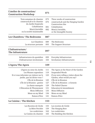| L'atelier de construction/<br><b>Construction Workshop</b>                                                                                        | 071        |                                                       |  |
|---------------------------------------------------------------------------------------------------------------------------------------------------|------------|-------------------------------------------------------|--|
| Trois semaines de chantier                                                                                                                        | 073        | Three weeks of construction                           |  |
| constructLab et le chantier<br>du Jardin Suspendu<br>Cohabitation<br>Mon(s) invisible<br>ou la société insaisissable<br>Les Chambres/The Bedrooms |            | constructLab and the Hanging Garden                   |  |
|                                                                                                                                                   |            | <b>Construction Site</b>                              |  |
|                                                                                                                                                   |            | Cohabitation                                          |  |
|                                                                                                                                                   |            | Mon(s) Invisible,<br>or the Intangible Society        |  |
|                                                                                                                                                   |            |                                                       |  |
| Les Chambres                                                                                                                                      | 089        | The Bedrooms                                          |  |
| La structure portante                                                                                                                             |            | The Support Structure                                 |  |
| L'Infrastructure/<br>The Infrastruture                                                                                                            | 097        |                                                       |  |
| Infrastructures du quotidien                                                                                                                      | 099        | Everyday Infrastructure                               |  |
| L'Infrastructure involontaire                                                                                                                     | 103        | <b>Involuntary Infrastructures</b>                    |  |
|                                                                                                                                                   |            |                                                       |  |
| L'Agora/The Agora                                                                                                                                 | 109        |                                                       |  |
| L'Agora au cœur du Jardin                                                                                                                         | 111        | The Agora at the Heart of the Garden                  |  |
| Les Phrases supendues                                                                                                                             | 119        | Suspended Words                                       |  |
| Et si vous informiez un visiteur sur le                                                                                                           | 123        | If you were telling a visitor about the               |  |
| jardin, que lui diriez-vous ?                                                                                                                     |            | Garden, what would you say?                           |  |
| L'Île de la Réunion                                                                                                                               | 125        | L'Île de la Réunion                                   |  |
| L'Île de la Réunion : genèse                                                                                                                      | 127        | L'Île de la Réunion : a Genesis                       |  |
| La charte manquée                                                                                                                                 | 129<br>131 | The Failed Charter                                    |  |
| L'Éducation & l'Étonnement<br>Mons Diffusion                                                                                                      | 135        | <b>Education &amp; Astonishment</b><br>Mons Diffusion |  |
| Mons on my Mind                                                                                                                                   | 136        |                                                       |  |
| Raison d'être                                                                                                                                     | 141        | Mons on my Mind<br>Raison d'être                      |  |
| La Cuisine / The Kitchen                                                                                                                          | 153        |                                                       |  |
| Les Recettes de Cécile                                                                                                                            | 155        | Les recettes de Cécile                                |  |
| La Bière Perchée                                                                                                                                  | 159        | The Hanging Beer                                      |  |
| Les cooktivistes<br>La Cuisine du chantier                                                                                                        | 162<br>165 | Les cooktivistes<br>The Building Site Kitchen         |  |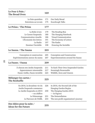| Le Four à Pain /<br>The Bread Oven                       | 169                          |                                       |  |
|----------------------------------------------------------|------------------------------|---------------------------------------|--|
| Le Pain quotidien                                        | 171                          | Our Daily Bread                       |  |
| Entretiens au Levain                                     | 175                          | Sourdough Talks                       |  |
| Le Préau / The Préau                                     | 177                          |                                       |  |
| La Boîte à Lire                                          | 179                          | The Reading Box                       |  |
| Le Carnet Suspendu                                       | 180                          | The Hanging Notebook                  |  |
| Communication visuelle                                   | 186                          | Visual Communication                  |  |
| L'Économie des lettres                                   |                              | The Economy of Letters                |  |
| La Radio                                                 |                              | The Radio                             |  |
| Dessiner l'invisible                                     | Drawing the Invisible<br>198 |                                       |  |
| Le Sauna / The Sauna                                     | 203                          |                                       |  |
| Conception et construction                               | 205                          | Conception and Construction           |  |
| Expérimentations autour du sauna                         | 207                          | Experimentations around the Sauna     |  |
| La Faune / Fauna                                         | 209                          |                                       |  |
| À chacun son Jardin Suspendu                             | 211                          | To Each Their Own Suspended Garden    |  |
| Apparemment raisonnable                                  | 217                          | Seemingly Reasonable                  |  |
| Faune visible, Faune invisible                           | 223                          | Wildlife, Seen and Unseen             |  |
| Mélanger les cartes /<br><b>The Reshuffle</b>            | 225                          |                                       |  |
| En 2016, la deuxième vie du                              | 226                          | In 2016, the Second Life of the       |  |
| Jardin Suspendu commence                                 |                              | Hanging Garden Begins                 |  |
| Le Jardin Suspendu en 2015                               | 230                          | The Hanging Garden 2015               |  |
| -en chiffres                                             |                              | — In Figures                          |  |
| Le Démontage                                             | 231                          | The Deinstallation                    |  |
| Le Parcours de l'ASBL                                    | 233                          | The non-profit organisation's journey |  |
| Des Idées pour la suite /<br><b>Ideas for the Future</b> | 235                          |                                       |  |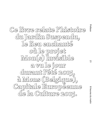**Ce livre relate l'histoire du Jardin Suspendu, le lieu enchanté où le projet Mon(s) Invisible a vu le jour durant l'été 2015, à Mons (Belgique), Capitale Européenne de la Culture 2015.**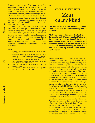lement à exécuter vos tâches dans le système dominant : enseigner, construire des structures, présenter des recherches ou rédiger des textes. Mais vous les comprendrez comme des actes de libre arbitre, inspirés, alimentés et dirigés par vos efforts en dehors du système, vous permettant d'inonder le cadre obsolète du système éducatif de nouveaux contenus, de rompre les structures et les terminologies rouillées et de les réutiliser selon vos conditions.

Il est impératif d'ancrer dans les consciences la nécessité d'encourager et d'entretenir les écoles. Faites-en une partie de votre intention au quotidien, une habitude, un besoin et une obligation. Initions des écoles : dans les villes ou la campagne, à l'extérieur ou à l'intérieur, pour quelques heures par semaine ou à temps plein. Le maintien de cet objectif partagé doit être à la base commune de vos efforts. La méthode utilisée dépend de chacun d'entre nous.

#### Notes:

- 1. Illich, Ivan. 1971. Deschooling Society. New York: Harper & Row, 72.
- 2. Avanessian, Armen (Ed.). 2013. #Akzeleration. Berlin: Merve, 71–77. (https://www.academia.edu/4779206/Criticism - Crisis - Acceleration) (Accessed 2016-01-20).
- 3. Paraskos, Michael. "TheTable Top Schools of Art," in: Paraskos, Michael. 2015. F your Essays on Art and Anarchism. Mitcham: Orage Press, #3.
- 4. Paolo Virno, Grammar of The Multitude, MIT Press, Chicago 2004, p. 76.
- 5. Edouard Glissant, Poetics of Relation, University of Michigan Press, Ann Arbor 1997, p. 179.

**en** 

#### REBEKKA KIESEWETTER

# Mons on my Mind

**This text is an adapted version of "Under Trees", published on aformalacademy.com in winter 2016.**

**What, I have been asking myself not only since the experience in Mons, is a school? What are (irrespective of legal provisions) the minimal requirements, structural and personnel fundamentals, which turn an assemblage of individuals into a school? During the week in the Jardin Suspendu my blurred vision became much clearer.**

1.

Already while pursuing my own educational path – unquestioningly accepting the frame, the requirements, the seemingly rather arbitrary hierarchies I perceived as given – I entertained a dim suspicion: A discomfort without a name. I was not able to put a finger on its origins. But I am now: In nowadays educational landscape and in an academic context, concepts such as efficiency, visibility, marketability and consensus have become the benchmarks for institutional as well as personal and professional success. Ivan Illich quite lucidly described the power relations and the entanglement of the educational system with the neoliberal market already in his 1971 classic, Deschooling Society: "The (…) curriculum (…) is a bundle of planned meanings, a package of values, a commodity whose 'balanced appeal' makes it marketable to a sufficiently large number to justify the cost of production. Consumer-pupils are taught to make their desires conform to marketable values. Thus they are made to feel guilty if they do not behave according to the predictions of consumer research by getting the grades and certificates that will place them in the job category they have been led to expect." (1) In this context you find yourselves reduced to the position of producers of value in a fictional and distorted knowledge economy.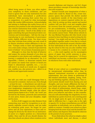Albeit being aware of them, you often neglect your complicity to those conditions, and you tend to ignore that not only institutions but also individuals have internalized a profit-driven mind-set. While pursuing their career they act as competitors, in a push for what increasingly looks like market differentiation. Acknowledging and aiming to challenge this reality forces you to question your position in the educational system: you criticize institutions from within, wish to replace them and often – bereft of the ability to imagine something that goes beyond prevalent conventions and terminologies – fall into the trap of reproducing its core mechanisms of governance under slightly different terms. You must recognize that criticism from within can only result in an illusive aloofness within affiliation to the system: "Critique seeks to limit and legitimate the very crisis under critique, instead of speculatively leave it behind," (2) as Armen Avanessian puts it.

Although it is clear that the kind of behavior and output the system demands of you does not correspond to your desires and conditions: would leaving it completely be an alternative? No. It is impossible, I believe, to dissociate entirely from the system (no matter how narrow or broad you frame it: educational, capitalist, eco-,…) as you still need it as much as it needs you. It supports you, enables you, also protects you – albeit in an janiform and opportunist manner.

3.

But still: you wish you could disengage from it, even just for a moment. And you can. Even though – at least for now – a detachment can only be partial. It begins with a mental exercise, with training your imagination: imagination is the tool of your emancipation. Because simply, what the educational system claims to be a "truth", the "truth" put forward by the frames, protocols and conventions of your peers, bosses and your discipline, might not be yours.

So first of all I suggest you take distance from connecting your need for recognition to an ultimately capitalist reward scheme, and not make its evaluation grids yours. No longer let yourselves and all your aspirations to learn and exchange be driven by the desire for an institutional career or a higher position on a hierarchical ladder. Once and for all you should dismiss the idea that schools are places where students strive towards diplomas and degrees, and let's forget about prevalent concepts of knowledge distribution and reception.

Instead nourish your imagination of what a school also could be. Based on this, create temporary spaces that provide the shelter needed to experiment outside of the time-frames and impositions on content required within the system. Only by setting up these spatial and mental realities will you find a real and tangible place for recovery from the system's pressure; A place for pre-consideration, re-thinking, re-disputing themes in an in-depth manner which the prevalent system cannot foster. Think about schools in the way Michael Paraskos did (this Greek writer seemed to have had Mons in mind writing the following): "you might well say that if four individuals gather together under a tree that is a school. Similarly four individuals around a kitchen table. Or four individuals in the café or bar. By redefining the school in this way you also redefine what it means to be a student in a school or a teacher (….) who work together not for meaningless pieces of paper that certify someone is something, but in a search for experiences." (3) Every individual can become a school free to assemble in whichever form with other individuals.

4.

Think of your school as a constellation formed by interpersonal relationships rather than by imposed institutional structures or networking requirements. See your classes as gatherings of like-minded individuals, laughing, eating, working and thinking together, sharing ideas. Your reward system should result from sharing acts and thoughts, and your innate affiliations the base of your bonds and actions. Absurdity, ephemerality, the refusal of utilitarianism, shared hope, empathy and friendship should become the base and direct your behavior and ethics. In this constellation you will acknowledge the singularity of every individual as a point of arrival, not a starting point (4); its single parts do agree not merely to the right to difference but (..) agree also to the right to opacity (5). In those constellations you will find recognition as individuals, not as architects, journalists or curators. Consider your school as a place bringing back the sense of joy and the benefits (besides money and degrees) that should be inherent in the pursuit of your practices.

If you think about the school as simply a place where individuals meet and discuss, a school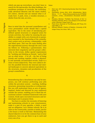which can pop up everywhere, you don't have to search for the spectacular, the shiny buildings, the overblown promises of curricula, the technologically advanced libraries and the smart studios, let's detect, cherish and use instead what is already here: A park, trees, a wooden structure, a shelter from the rain, an oven...

5.

Bear in mind that the personal constellation and every personality's needs should find a spatial equivalent. Not in the sense of introducing predefined spatial structures or assigned zones for certain activities, but rather by ensuring the possibility to comply with a set of protocols or parameters essential to the functioning of the constellation's action such as privacy, communality, voids and blind spots. This was the main finding after the experimental journey through the area I sent my fellows on. Following a questionnaire, they mirrored their singularity and the group's collectivity in the terrain, define spatial requirements for "working and thinking as friends," and to find out on what terms  $-$  if at all  $-$  the fact of being friends and working together within a physically and mentally circumscribed terrain, leads to a sense of inter-subjectivity. They were asked to detect the parallels between the internal and external landscapes to uncover physical equivalents to the structures, dynamics and peculiarities of the group's constellation.

6.

Remembering that a detachment can only be temporary, you will continue performing your jobs within the prevalent system – teaching, building structures, presenting researches or writing texts. But you will understand them as acts of agency, inspired, fueled and directed by your endeavors outside the system, enabling you to flood the educational system's outdated framework with new content, break open encrusted structures and terminologies and re-purpose them.

You have to anchor the necessity of fostering and maintaining schools in your consciousness, make it a part of your agendas, a habit, a need and an obligation. Let's initiate schools: Be it in cities or the countryside, outside or inside, just for a few hours a week or full time. Maintaining this shared objective is to be the common base of your endeavors, how you get there is up to each and every one of us.

Notes:

- 1. Illich, Ivan. 1971. Deschooling Society. New York: Harper & Row, 72.
- 2. Avanessian, Armen (Ed.). 2013. #Akzeleration. Berlin: Merve, 71–77. (https://www.academia.edu/4779206/ Criticism - Crisis - Acceleration) (Accessed 2016-01-20).
- 3. Paraskos, Michael. "TheTable Top Schools of Art," in: Paraskos, Michael. 2015. F your Essays on Art and Anarchism. Mitcham: Orage Press, #3.
- 4. Paolo Virno, Grammar of The Multitude, MIT Press, Chicago 2004, p. 76.
- 5. Edouard Glissant, Poetics of Relation, University of Michigan Press, Ann Arbor 1997, p. 179.

The Agora